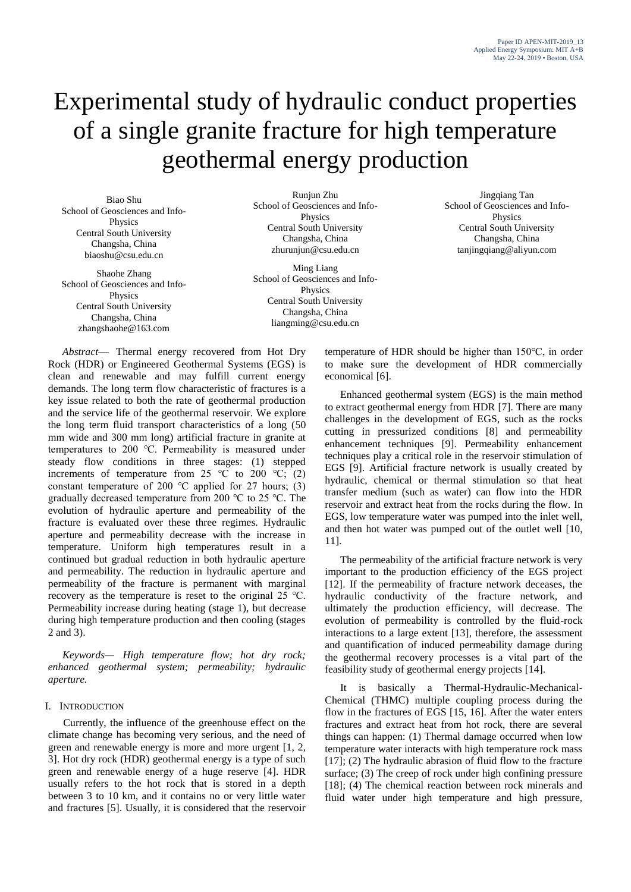# Experimental study of hydraulic conduct properties of a single granite fracture for high temperature geothermal energy production

Biao Shu School of Geosciences and Info-Physics Central South University Changsha, China biaoshu@csu.edu.cn

Shaohe Zhang School of Geosciences and Info-Physics Central South University Changsha, China zhangshaohe@163.com

Runjun Zhu School of Geosciences and Info-Physics Central South University Changsha, China zhurunjun@csu.edu.cn

Ming Liang School of Geosciences and Info-Physics Central South University Changsha, China liangming@csu.edu.cn

*Abstract*— Thermal energy recovered from Hot Dry Rock (HDR) or Engineered Geothermal Systems (EGS) is clean and renewable and may fulfill current energy demands. The long term flow characteristic of fractures is a key issue related to both the rate of geothermal production and the service life of the geothermal reservoir. We explore the long term fluid transport characteristics of a long (50 mm wide and 300 mm long) artificial fracture in granite at temperatures to 200 ℃. Permeability is measured under steady flow conditions in three stages: (1) stepped increments of temperature from 25 °C to 200 °C; (2) constant temperature of 200  $°C$  applied for 27 hours; (3) gradually decreased temperature from 200 ℃ to 25 ℃. The evolution of hydraulic aperture and permeability of the fracture is evaluated over these three regimes. Hydraulic aperture and permeability decrease with the increase in temperature. Uniform high temperatures result in a continued but gradual reduction in both hydraulic aperture and permeability. The reduction in hydraulic aperture and permeability of the fracture is permanent with marginal recovery as the temperature is reset to the original 25 ℃. Permeability increase during heating (stage 1), but decrease during high temperature production and then cooling (stages 2 and 3).

*Keywords— High temperature flow; hot dry rock; enhanced geothermal system; permeability; hydraulic aperture.*

# I. INTRODUCTION

Currently, the influence of the greenhouse effect on the climate change has becoming very serious, and the need of green and renewable energy is more and more urgent [1, 2, 3]. Hot dry rock (HDR) geothermal energy is a type of such green and renewable energy of a huge reserve [4]. HDR usually refers to the hot rock that is stored in a depth between 3 to 10 km, and it contains no or very little water and fractures [5]. Usually, it is considered that the reservoir

Jingqiang Tan School of Geosciences and Info-Physics Central South University Changsha, China tanjingqiang@aliyun.com

temperature of HDR should be higher than 150℃, in order to make sure the development of HDR commercially economical [6].

Enhanced geothermal system (EGS) is the main method to extract geothermal energy from HDR [7]. There are many challenges in the development of EGS, such as the rocks cutting in pressurized conditions [8] and permeability enhancement techniques [9]. Permeability enhancement techniques play a critical role in the reservoir stimulation of EGS [9]. Artificial fracture network is usually created by hydraulic, chemical or thermal stimulation so that heat transfer medium (such as water) can flow into the HDR reservoir and extract heat from the rocks during the flow. In EGS, low temperature water was pumped into the inlet well, and then hot water was pumped out of the outlet well [10, 11].

The permeability of the artificial fracture network is very important to the production efficiency of the EGS project [12]. If the permeability of fracture network deceases, the hydraulic conductivity of the fracture network, and ultimately the production efficiency, will decrease. The evolution of permeability is controlled by the fluid-rock interactions to a large extent [13], therefore, the assessment and quantification of induced permeability damage during the geothermal recovery processes is a vital part of the feasibility study of geothermal energy projects [14].

It is basically a Thermal-Hydraulic-Mechanical-Chemical (THMC) multiple coupling process during the flow in the fractures of EGS [15, 16]. After the water enters fractures and extract heat from hot rock, there are several things can happen: (1) Thermal damage occurred when low temperature water interacts with high temperature rock mass [17]; (2) The hydraulic abrasion of fluid flow to the fracture surface; (3) The creep of rock under high confining pressure [18]; (4) The chemical reaction between rock minerals and fluid water under high temperature and high pressure,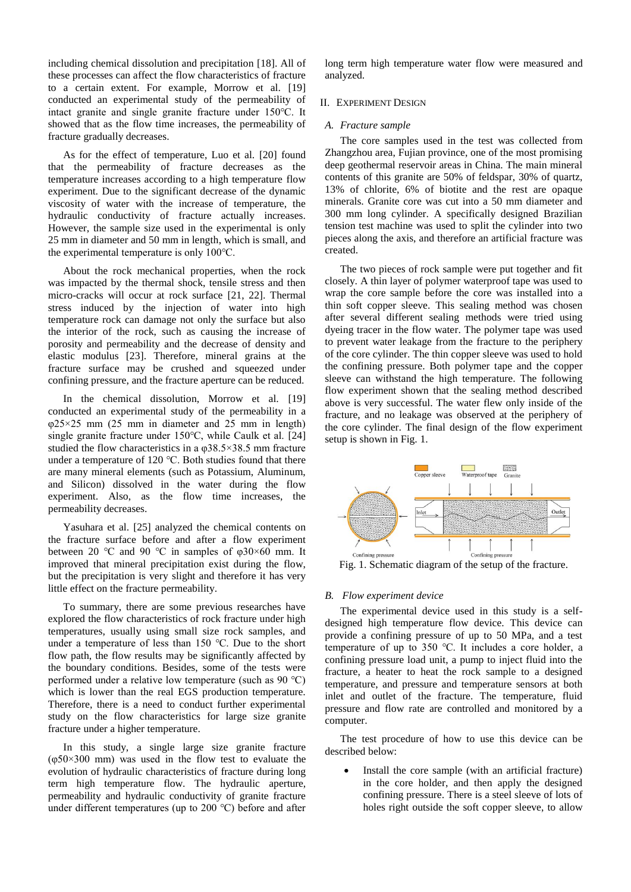including chemical dissolution and precipitation [18]. All of these processes can affect the flow characteristics of fracture to a certain extent. For example, Morrow et al. [19] conducted an experimental study of the permeability of intact granite and single granite fracture under 150℃. It showed that as the flow time increases, the permeability of fracture gradually decreases.

As for the effect of temperature, Luo et al. [20] found that the permeability of fracture decreases as the temperature increases according to a high temperature flow experiment. Due to the significant decrease of the dynamic viscosity of water with the increase of temperature, the hydraulic conductivity of fracture actually increases. However, the sample size used in the experimental is only 25 mm in diameter and 50 mm in length, which is small, and the experimental temperature is only 100℃.

About the rock mechanical properties, when the rock was impacted by the thermal shock, tensile stress and then micro-cracks will occur at rock surface [21, 22]. Thermal stress induced by the injection of water into high temperature rock can damage not only the surface but also the interior of the rock, such as causing the increase of porosity and permeability and the decrease of density and elastic modulus [23]. Therefore, mineral grains at the fracture surface may be crushed and squeezed under confining pressure, and the fracture aperture can be reduced.

In the chemical dissolution, Morrow et al. [19] conducted an experimental study of the permeability in a  $\varphi$ 25×25 mm (25 mm in diameter and 25 mm in length) single granite fracture under 150℃, while Caulk et al. [24] studied the flow characteristics in a  $\omega$ 38.5×38.5 mm fracture under a temperature of 120 ℃. Both studies found that there are many mineral elements (such as Potassium, Aluminum, and Silicon) dissolved in the water during the flow experiment. Also, as the flow time increases, the permeability decreases.

Yasuhara et al. [25] analyzed the chemical contents on the fracture surface before and after a flow experiment between 20 °C and 90 °C in samples of  $\varphi$ 30×60 mm. It improved that mineral precipitation exist during the flow, but the precipitation is very slight and therefore it has very little effect on the fracture permeability.

To summary, there are some previous researches have explored the flow characteristics of rock fracture under high temperatures, usually using small size rock samples, and under a temperature of less than 150 ℃. Due to the short flow path, the flow results may be significantly affected by the boundary conditions. Besides, some of the tests were performed under a relative low temperature (such as 90 ℃) which is lower than the real EGS production temperature. Therefore, there is a need to conduct further experimental study on the flow characteristics for large size granite fracture under a higher temperature.

In this study, a single large size granite fracture  $(\varphi 50 \times 300$  mm) was used in the flow test to evaluate the evolution of hydraulic characteristics of fracture during long term high temperature flow. The hydraulic aperture, permeability and hydraulic conductivity of granite fracture under different temperatures (up to 200 ℃) before and after long term high temperature water flow were measured and analyzed.

## II. EXPERIMENT DESIGN

# *A. Fracture sample*

The core samples used in the test was collected from Zhangzhou area, Fujian province, one of the most promising deep geothermal reservoir areas in China. The main mineral contents of this granite are 50% of feldspar, 30% of quartz, 13% of chlorite, 6% of biotite and the rest are opaque minerals. Granite core was cut into a 50 mm diameter and 300 mm long cylinder. A specifically designed Brazilian tension test machine was used to split the cylinder into two pieces along the axis, and therefore an artificial fracture was created.

The two pieces of rock sample were put together and fit closely. A thin layer of polymer waterproof tape was used to wrap the core sample before the core was installed into a thin soft copper sleeve. This sealing method was chosen after several different sealing methods were tried using dyeing tracer in the flow water. The polymer tape was used to prevent water leakage from the fracture to the periphery of the core cylinder. The thin copper sleeve was used to hold the confining pressure. Both polymer tape and the copper sleeve can withstand the high temperature. The following flow experiment shown that the sealing method described above is very successful. The water flew only inside of the fracture, and no leakage was observed at the periphery of the core cylinder. The final design of the flow experiment setup is shown in Fig. 1.



Fig. 1. Schematic diagram of the setup of the fracture.

## *B. Flow experiment device*

The experimental device used in this study is a selfdesigned high temperature flow device. This device can provide a confining pressure of up to 50 MPa, and a test temperature of up to 350 ℃. It includes a core holder, a confining pressure load unit, a pump to inject fluid into the fracture, a heater to heat the rock sample to a designed temperature, and pressure and temperature sensors at both inlet and outlet of the fracture. The temperature, fluid pressure and flow rate are controlled and monitored by a computer.

The test procedure of how to use this device can be described below:

 Install the core sample (with an artificial fracture) in the core holder, and then apply the designed confining pressure. There is a steel sleeve of lots of holes right outside the soft copper sleeve, to allow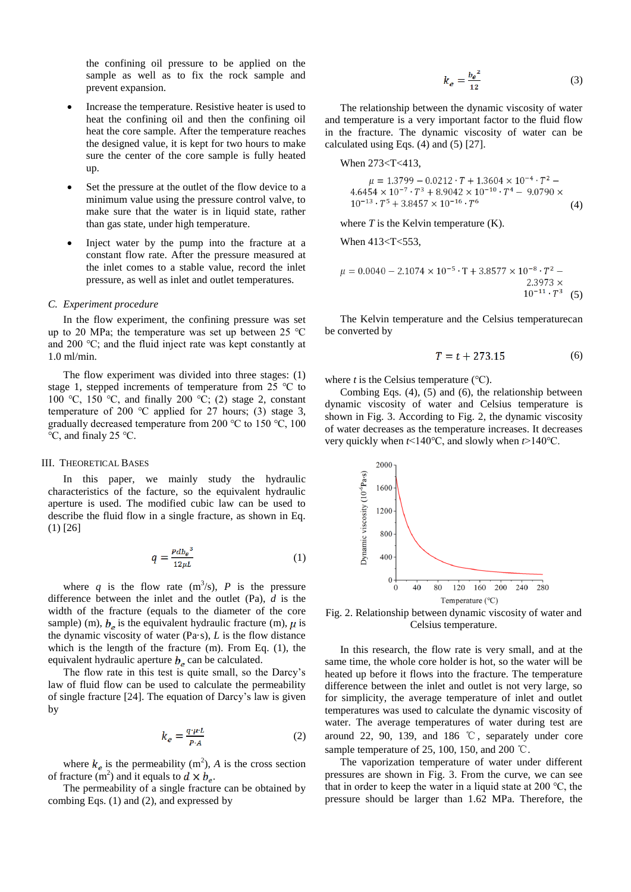the confining oil pressure to be applied on the sample as well as to fix the rock sample and prevent expansion.

- Increase the temperature. Resistive heater is used to heat the confining oil and then the confining oil heat the core sample. After the temperature reaches the designed value, it is kept for two hours to make sure the center of the core sample is fully heated up.
- Set the pressure at the outlet of the flow device to a minimum value using the pressure control valve, to make sure that the water is in liquid state, rather than gas state, under high temperature.
- Inject water by the pump into the fracture at a constant flow rate. After the pressure measured at the inlet comes to a stable value, record the inlet pressure, as well as inlet and outlet temperatures.

#### *C. Experiment procedure*

In the flow experiment, the confining pressure was set up to 20 MPa; the temperature was set up between 25 ℃ and 200 ℃; and the fluid inject rate was kept constantly at 1.0 ml/min.

The flow experiment was divided into three stages: (1) stage 1, stepped increments of temperature from 25 ℃ to 100 °C, 150 °C, and finally 200 °C; (2) stage 2, constant temperature of 200 °C applied for 27 hours; (3) stage 3, gradually decreased temperature from 200 ℃ to 150 ℃, 100 ℃, and finaly 25 ℃.

## III. THEORETICAL BASES

In this paper, we mainly study the hydraulic characteristics of the facture, so the equivalent hydraulic aperture is used. The modified cubic law can be used to describe the fluid flow in a single fracture, as shown in Eq. (1) [26]

$$
q = \frac{Pdb_e^3}{12\mu L} \tag{1}
$$

where q is the flow rate  $(m^3/s)$ , P is the pressure difference between the inlet and the outlet (Pa), *d* is the width of the fracture (equals to the diameter of the core sample) (m),  $b_e$  is the equivalent hydraulic fracture (m),  $\mu$  is the dynamic viscosity of water (Pa·s), *L* is the flow distance which is the length of the fracture (m). From Eq. (1), the equivalent hydraulic aperture  $b_e$  can be calculated.

The flow rate in this test is quite small, so the Darcy's law of fluid flow can be used to calculate the permeability of single fracture [24]. The equation of Darcy's law is given by

$$
k_e = \frac{q \cdot \mu \cdot L}{P \cdot A} \tag{2}
$$

where  $k_e$  is the permeability (m<sup>2</sup>), *A* is the cross section of fracture (m<sup>2</sup>) and it equals to  $d \times b_e$ .

The permeability of a single fracture can be obtained by combing Eqs. (1) and (2), and expressed by

$$
k_e = \frac{b_e^2}{12} \tag{3}
$$

The relationship between the dynamic viscosity of water and temperature is a very important factor to the fluid flow in the fracture. The dynamic viscosity of water can be calculated using Eqs. (4) and (5) [27].

When 273<T<413,

$$
\mu = 1.3799 - 0.0212 \cdot T + 1.3604 \times 10^{-4} \cdot T^2 - 4.6454 \times 10^{-7} \cdot T^3 + 8.9042 \times 10^{-10} \cdot T^4 - 9.0790 \times 10^{-13} \cdot T^5 + 3.8457 \times 10^{-16} \cdot T^6
$$
\n(4)

where  $T$  is the Kelvin temperature  $(K)$ .

When 413<T<553,

$$
\mu = 0.0040 - 2.1074 \times 10^{-5} \cdot T + 3.8577 \times 10^{-8} \cdot T^2 - 2.3973 \times 10^{-11} \cdot T^3 \quad (5)
$$

The Kelvin temperature and the Celsius temperaturecan be converted by

$$
T = t + 273.15 \tag{6}
$$

where  $t$  is the Celsius temperature  $(°C)$ .

Combing Eqs. (4), (5) and (6), the relationship between dynamic viscosity of water and Celsius temperature is shown in Fig. 3. According to Fig. 2, the dynamic viscosity of water decreases as the temperature increases. It decreases very quickly when *t*<140℃, and slowly when *t*>140℃.



Fig. 2. Relationship between dynamic viscosity of water and Celsius temperature.

In this research, the flow rate is very small, and at the same time, the whole core holder is hot, so the water will be heated up before it flows into the fracture. The temperature difference between the inlet and outlet is not very large, so for simplicity, the average temperature of inlet and outlet temperatures was used to calculate the dynamic viscosity of water. The average temperatures of water during test are around 22, 90, 139, and 186 ℃, separately under core sample temperature of 25, 100, 150, and 200 ℃.

The vaporization temperature of water under different pressures are shown in Fig. 3. From the curve, we can see that in order to keep the water in a liquid state at 200 ℃, the pressure should be larger than 1.62 MPa. Therefore, the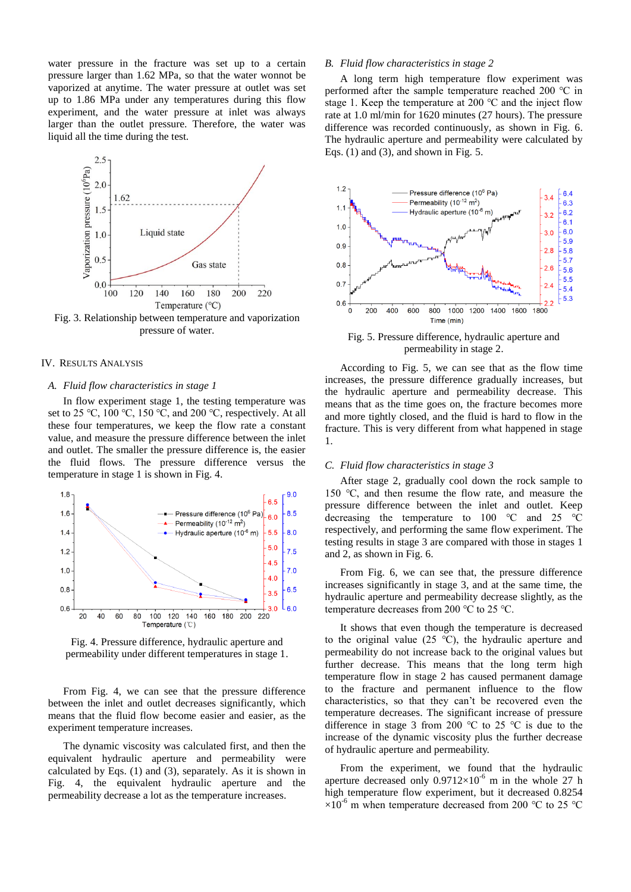water pressure in the fracture was set up to a certain pressure larger than 1.62 MPa, so that the water wonnot be vaporized at anytime. The water pressure at outlet was set up to 1.86 MPa under any temperatures during this flow experiment, and the water pressure at inlet was always larger than the outlet pressure. Therefore, the water was liquid all the time during the test.



Fig. 3. Relationship between temperature and vaporization pressure of water.

# IV. RESULTS ANALYSIS

#### *A. Fluid flow characteristics in stage 1*

In flow experiment stage 1, the testing temperature was set to 25 °C, 100 °C, 150 °C, and 200 °C, respectively. At all these four temperatures, we keep the flow rate a constant value, and measure the pressure difference between the inlet and outlet. The smaller the pressure difference is, the easier the fluid flows. The pressure difference versus the temperature in stage 1 is shown in Fig. 4.



Fig. 4. Pressure difference, hydraulic aperture and permeability under different temperatures in stage 1.

From Fig. 4, we can see that the pressure difference between the inlet and outlet decreases significantly, which means that the fluid flow become easier and easier, as the experiment temperature increases.

The dynamic viscosity was calculated first, and then the equivalent hydraulic aperture and permeability were calculated by Eqs. (1) and (3), separately. As it is shown in Fig. 4, the equivalent hydraulic aperture and the permeability decrease a lot as the temperature increases.

# *B. Fluid flow characteristics in stage 2*

A long term high temperature flow experiment was performed after the sample temperature reached 200 ℃ in stage 1. Keep the temperature at 200 ℃ and the inject flow rate at 1.0 ml/min for 1620 minutes (27 hours). The pressure difference was recorded continuously, as shown in Fig. 6. The hydraulic aperture and permeability were calculated by Eqs.  $(1)$  and  $(3)$ , and shown in Fig. 5.



Fig. 5. Pressure difference, hydraulic aperture and permeability in stage 2.

According to Fig. 5, we can see that as the flow time increases, the pressure difference gradually increases, but the hydraulic aperture and permeability decrease. This means that as the time goes on, the fracture becomes more and more tightly closed, and the fluid is hard to flow in the fracture. This is very different from what happened in stage 1.

#### *C. Fluid flow characteristics in stage 3*

After stage 2, gradually cool down the rock sample to 150 ℃, and then resume the flow rate, and measure the pressure difference between the inlet and outlet. Keep decreasing the temperature to 100 ℃ and 25 ℃ respectively, and performing the same flow experiment. The testing results in stage 3 are compared with those in stages 1 and 2, as shown in Fig. 6.

From Fig. 6, we can see that, the pressure difference increases significantly in stage 3, and at the same time, the hydraulic aperture and permeability decrease slightly, as the temperature decreases from 200 ℃ to 25 ℃.

It shows that even though the temperature is decreased to the original value (25 ℃), the hydraulic aperture and permeability do not increase back to the original values but further decrease. This means that the long term high temperature flow in stage 2 has caused permanent damage to the fracture and permanent influence to the flow characteristics, so that they can't be recovered even the temperature decreases. The significant increase of pressure difference in stage 3 from 200 ℃ to 25 ℃ is due to the increase of the dynamic viscosity plus the further decrease of hydraulic aperture and permeability.

From the experiment, we found that the hydraulic aperture decreased only  $0.9712 \times 10^{-6}$  m in the whole 27 h high temperature flow experiment, but it decreased 0.8254  $\times10^{-6}$  m when temperature decreased from 200 °C to 25 °C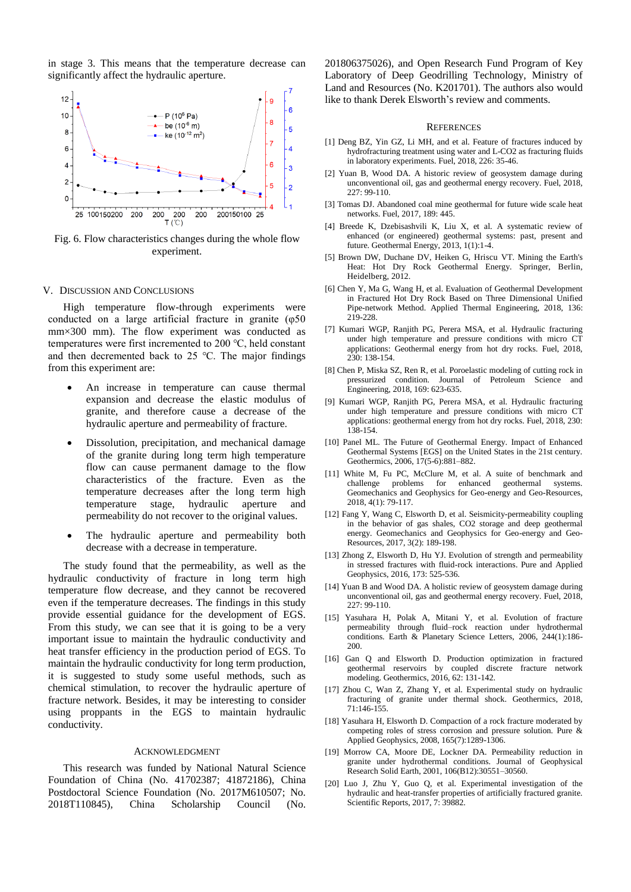in stage 3. This means that the temperature decrease can significantly affect the hydraulic aperture.



Fig. 6. Flow characteristics changes during the whole flow experiment.

#### V. DISCUSSION AND CONCLUSIONS

High temperature flow-through experiments were conducted on a large artificial fracture in granite (φ50 mm×300 mm). The flow experiment was conducted as temperatures were first incremented to 200 ℃, held constant and then decremented back to 25 ℃. The major findings from this experiment are:

- An increase in temperature can cause thermal expansion and decrease the elastic modulus of granite, and therefore cause a decrease of the hydraulic aperture and permeability of fracture.
- Dissolution, precipitation, and mechanical damage of the granite during long term high temperature flow can cause permanent damage to the flow characteristics of the fracture. Even as the temperature decreases after the long term high temperature stage, hydraulic aperture and permeability do not recover to the original values.
- The hydraulic aperture and permeability both decrease with a decrease in temperature.

The study found that the permeability, as well as the hydraulic conductivity of fracture in long term high temperature flow decrease, and they cannot be recovered even if the temperature decreases. The findings in this study provide essential guidance for the development of EGS. From this study, we can see that it is going to be a very important issue to maintain the hydraulic conductivity and heat transfer efficiency in the production period of EGS. To maintain the hydraulic conductivity for long term production, it is suggested to study some useful methods, such as chemical stimulation, to recover the hydraulic aperture of fracture network. Besides, it may be interesting to consider using proppants in the EGS to maintain hydraulic conductivity.

#### ACKNOWLEDGMENT

This research was funded by National Natural Science Foundation of China (No. 41702387; 41872186), China Postdoctoral Science Foundation (No. 2017M610507; No. 2018T110845), China Scholarship Council (No. 201806375026), and Open Research Fund Program of Key Laboratory of Deep Geodrilling Technology, Ministry of Land and Resources (No. K201701). The authors also would like to thank Derek Elsworth's review and comments.

#### **REFERENCES**

- [1] Deng BZ, Yin GZ, Li MH, and et al. Feature of fractures induced by hydrofracturing treatment using water and L-CO2 as fracturing fluids in laboratory experiments. Fuel, 2018, 226: 35-46.
- [2] Yuan B, Wood DA. A historic review of geosystem damage during unconventional oil, gas and geothermal energy recovery. Fuel, 2018, 227: 99-110.
- [3] Tomas DJ. Abandoned coal mine geothermal for future wide scale heat networks. Fuel, 2017, 189: 445.
- [4] Breede K, Dzebisashvili K, Liu X, et al. A systematic review of enhanced (or engineered) geothermal systems: past, present and future. Geothermal Energy, 2013, 1(1):1-4.
- [5] Brown DW, Duchane DV, Heiken G, Hriscu VT. Mining the Earth's Heat: Hot Dry Rock Geothermal Energy. Springer, Berlin, Heidelberg, 2012.
- [6] Chen Y, Ma G, Wang H, et al. Evaluation of Geothermal Development in Fractured Hot Dry Rock Based on Three Dimensional Unified Pipe-network Method. Applied Thermal Engineering, 2018, 136: 219-228.
- [7] Kumari WGP, Ranjith PG, Perera MSA, et al. Hydraulic fracturing under high temperature and pressure conditions with micro CT applications: Geothermal energy from hot dry rocks. Fuel, 2018,  $230 \cdot 138 - 154$
- [8] Chen P, Miska SZ, Ren R, et al. Poroelastic modeling of cutting rock in pressurized condition. Journal of Petroleum Science and Engineering, 2018, 169: 623-635.
- [9] Kumari WGP, Ranjith PG, Perera MSA, et al. Hydraulic fracturing under high temperature and pressure conditions with micro CT applications: geothermal energy from hot dry rocks. Fuel, 2018, 230: 138-154.
- [10] Panel ML. The Future of Geothermal Energy. Impact of Enhanced Geothermal Systems [EGS] on the United States in the 21st century. Geothermics, 2006, 17(5-6):881–882.
- [11] White M, Fu PC, McClure M, et al. A suite of benchmark and challenge problems for enhanced geothermal systems. Geomechanics and Geophysics for Geo-energy and Geo-Resources, 2018, 4(1): 79-117.
- [12] Fang Y, Wang C, Elsworth D, et al. Seismicity-permeability coupling in the behavior of gas shales, CO2 storage and deep geothermal energy. Geomechanics and Geophysics for Geo-energy and Geo-Resources, 2017, 3(2): 189-198.
- [13] Zhong Z, Elsworth D, Hu YJ. Evolution of strength and permeability in stressed fractures with fluid-rock interactions. Pure and Applied Geophysics, 2016, 173: 525-536.
- [14] Yuan B and Wood DA. A holistic review of geosystem damage during unconventional oil, gas and geothermal energy recovery. Fuel, 2018, 227: 99-110.
- [15] Yasuhara H, Polak A, Mitani Y, et al. Evolution of fracture permeability through fluid–rock reaction under hydrothermal conditions. Earth & Planetary Science Letters, 2006, 244(1):186- 200.
- [16] Gan Q and Elsworth D. Production optimization in fractured geothermal reservoirs by coupled discrete fracture network modeling. Geothermics, 2016, 62: 131-142.
- [17] Zhou C, Wan Z, Zhang Y, et al. Experimental study on hydraulic fracturing of granite under thermal shock. Geothermics, 2018, 71:146-155.
- [18] Yasuhara H, Elsworth D. Compaction of a rock fracture moderated by competing roles of stress corrosion and pressure solution. Pure & Applied Geophysics, 2008, 165(7):1289-1306.
- [19] Morrow CA, Moore DE, Lockner DA. Permeability reduction in granite under hydrothermal conditions. Journal of Geophysical Research Solid Earth, 2001, 106(B12):30551–30560.
- [20] Luo J, Zhu Y, Guo Q, et al. Experimental investigation of the hydraulic and heat-transfer properties of artificially fractured granite. Scientific Reports, 2017, 7: 39882.